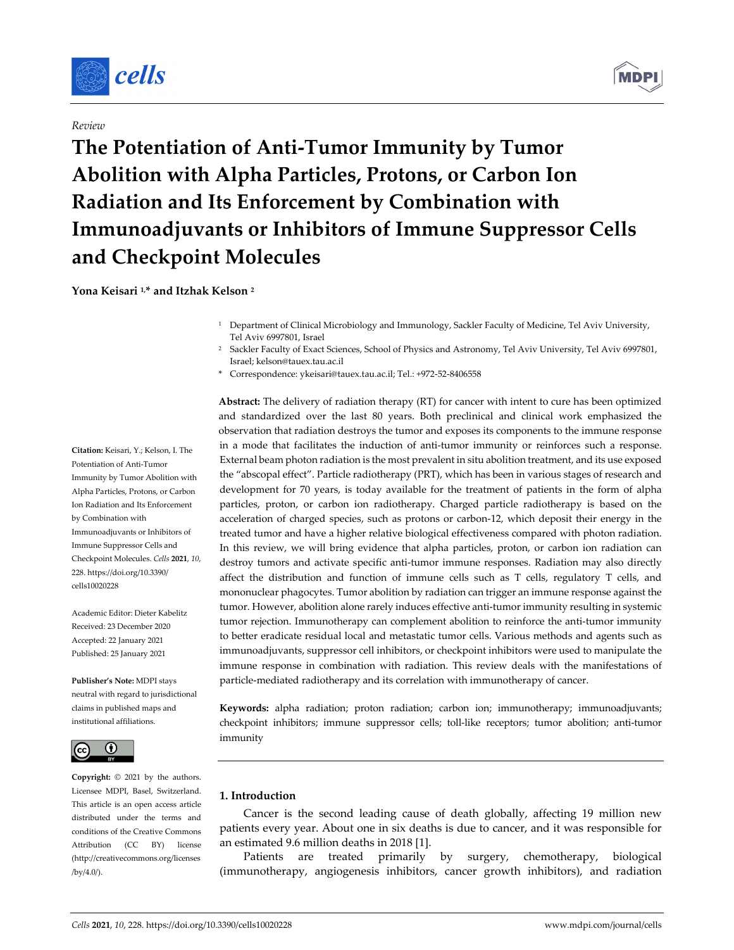

# *Review*

# **The Potentiation of Anti‐Tumor Immunity by Tumor Abolition with Alpha Particles, Protons, or Carbon Ion Radiation and Its Enforcement by Combination with Immunoadjuvants or Inhibitors of Immune Suppressor Cells and Checkpoint Molecules**

**Yona Keisari 1,\* and Itzhak Kelson <sup>2</sup>**

<sup>1</sup> Department of Clinical Microbiology and Immunology, Sackler Faculty of Medicine, Tel Aviv University, Tel Aviv 6997801, Israel

<sup>2</sup> Sackler Faculty of Exact Sciences, School of Physics and Astronomy, Tel Aviv University, Tel Aviv 6997801, Israel; kelson@tauex.tau.ac.il

\* Correspondence: ykeisari@tauex.tau.ac.il; Tel.: +972‐52‐8406558

**Abstract:** The delivery of radiation therapy (RT) for cancer with intent to cure has been optimized and standardized over the last 80 years. Both preclinical and clinical work emphasized the observation that radiation destroys the tumor and exposes its components to the immune response in a mode that facilitates the induction of anti-tumor immunity or reinforces such a response. External beam photon radiation is the most prevalent in situ abolition treatment, and its use exposed the "abscopal effect". Particle radiotherapy (PRT), which has been in various stages of research and development for 70 years, is today available for the treatment of patients in the form of alpha particles, proton, or carbon ion radiotherapy. Charged particle radiotherapy is based on the acceleration of charged species, such as protons or carbon‐12, which deposit their energy in the treated tumor and have a higher relative biological effectiveness compared with photon radiation. In this review, we will bring evidence that alpha particles, proton, or carbon ion radiation can destroy tumors and activate specific anti-tumor immune responses. Radiation may also directly affect the distribution and function of immune cells such as T cells, regulatory T cells, and mononuclear phagocytes. Tumor abolition by radiation can trigger an immune response against the tumor. However, abolition alone rarely induces effective anti-tumor immunity resulting in systemic tumor rejection. Immunotherapy can complement abolition to reinforce the anti-tumor immunity to better eradicate residual local and metastatic tumor cells. Various methods and agents such as immunoadjuvants, suppressor cell inhibitors, or checkpoint inhibitors were used to manipulate the immune response in combination with radiation. This review deals with the manifestations of particle-mediated radiotherapy and its correlation with immunotherapy of cancer.

**Keywords:** alpha radiation; proton radiation; carbon ion; immunotherapy; immunoadjuvants; checkpoint inhibitors; immune suppressor cells; toll-like receptors; tumor abolition; anti-tumor immunity

# **1. Introduction**

Cancer is the second leading cause of death globally, affecting 19 million new patients every year. About one in six deaths is due to cancer, and it was responsible for an estimated 9.6 million deaths in 2018 [1].

Patients are treated primarily by surgery, chemotherapy, biological (immunotherapy, angiogenesis inhibitors, cancer growth inhibitors), and radiation

**Citation:** Keisari, Y.; Kelson, I. The Potentiation of Anti‐Tumor Immunity by Tumor Abolition with Alpha Particles, Protons, or Carbon Ion Radiation and Its Enforcement by Combination with Immunoadjuvants or Inhibitors of Immune Suppressor Cells and Checkpoint Molecules. *Cells* **2021**, *10*, 228. https://doi.org/10.3390/ cells10020228

Academic Editor: Dieter Kabelitz Received: 23 December 2020 Accepted: 22 January 2021 Published: 25 January 2021

**Publisher's Note:** MDPI stays neutral with regard to jurisdictional claims in published maps and institutional affiliations.



**Copyright:** © 2021 by the authors. Licensee MDPI, Basel, Switzerland. This article is an open access article distributed under the terms and conditions of the Creative Commons Attribution (CC BY) license (http://creativecommons.org/licenses /by/4.0/).

**MDPI**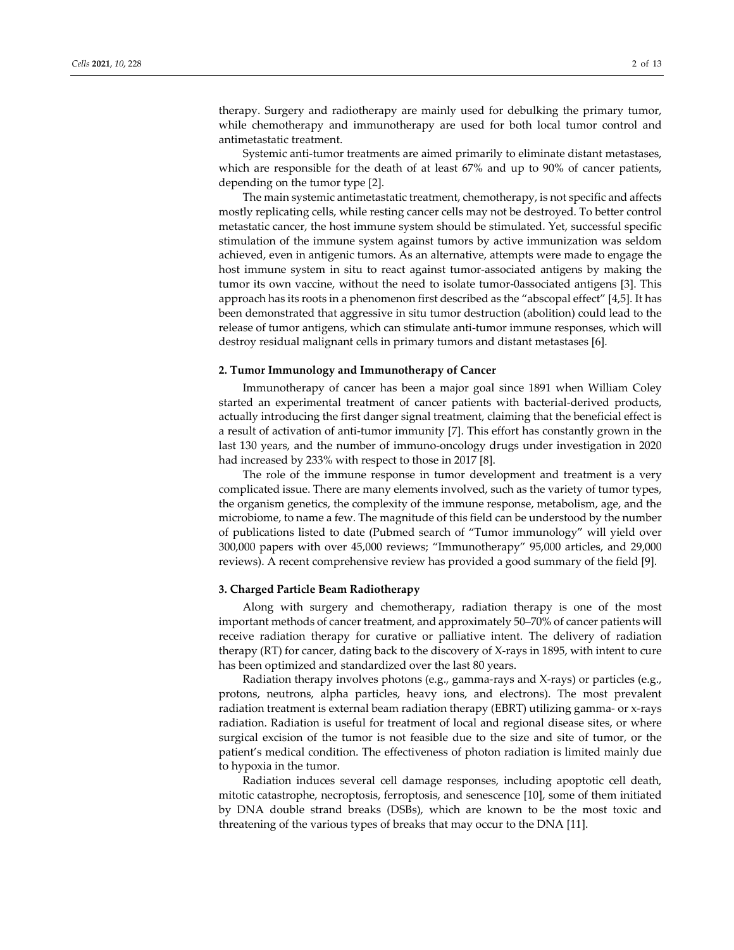therapy. Surgery and radiotherapy are mainly used for debulking the primary tumor, while chemotherapy and immunotherapy are used for both local tumor control and antimetastatic treatment.

Systemic anti-tumor treatments are aimed primarily to eliminate distant metastases, which are responsible for the death of at least 67% and up to 90% of cancer patients, depending on the tumor type [2].

The main systemic antimetastatic treatment, chemotherapy, is not specific and affects mostly replicating cells, while resting cancer cells may not be destroyed. To better control metastatic cancer, the host immune system should be stimulated. Yet, successful specific stimulation of the immune system against tumors by active immunization was seldom achieved, even in antigenic tumors. As an alternative, attempts were made to engage the host immune system in situ to react against tumor-associated antigens by making the tumor its own vaccine, without the need to isolate tumor‐0associated antigens [3]. This approach has its roots in a phenomenon first described as the "abscopal effect" [4,5]. It has been demonstrated that aggressive in situ tumor destruction (abolition) could lead to the release of tumor antigens, which can stimulate anti‐tumor immune responses, which will destroy residual malignant cells in primary tumors and distant metastases [6].

#### **2. Tumor Immunology and Immunotherapy of Cancer**

Immunotherapy of cancer has been a major goal since 1891 when William Coley started an experimental treatment of cancer patients with bacterial-derived products, actually introducing the first danger signal treatment, claiming that the beneficial effect is a result of activation of anti‐tumor immunity [7]. This effort has constantly grown in the last 130 years, and the number of immuno‐oncology drugs under investigation in 2020 had increased by 233% with respect to those in 2017 [8].

The role of the immune response in tumor development and treatment is a very complicated issue. There are many elements involved, such as the variety of tumor types, the organism genetics, the complexity of the immune response, metabolism, age, and the microbiome, to name a few. The magnitude of this field can be understood by the number of publications listed to date (Pubmed search of "Tumor immunology" will yield over 300,000 papers with over 45,000 reviews; "Immunotherapy" 95,000 articles, and 29,000 reviews). A recent comprehensive review has provided a good summary of the field [9].

#### **3. Charged Particle Beam Radiotherapy**

Along with surgery and chemotherapy, radiation therapy is one of the most important methods of cancer treatment, and approximately 50–70% of cancer patients will receive radiation therapy for curative or palliative intent. The delivery of radiation therapy (RT) for cancer, dating back to the discovery of X‐rays in 1895, with intent to cure has been optimized and standardized over the last 80 years.

Radiation therapy involves photons (e.g., gamma‐rays and X‐rays) or particles (e.g., protons, neutrons, alpha particles, heavy ions, and electrons). The most prevalent radiation treatment is external beam radiation therapy (EBRT) utilizing gamma‐ or x‐rays radiation. Radiation is useful for treatment of local and regional disease sites, or where surgical excision of the tumor is not feasible due to the size and site of tumor, or the patient's medical condition. The effectiveness of photon radiation is limited mainly due to hypoxia in the tumor.

Radiation induces several cell damage responses, including apoptotic cell death, mitotic catastrophe, necroptosis, ferroptosis, and senescence [10], some of them initiated by DNA double strand breaks (DSBs), which are known to be the most toxic and threatening of the various types of breaks that may occur to the DNA [11].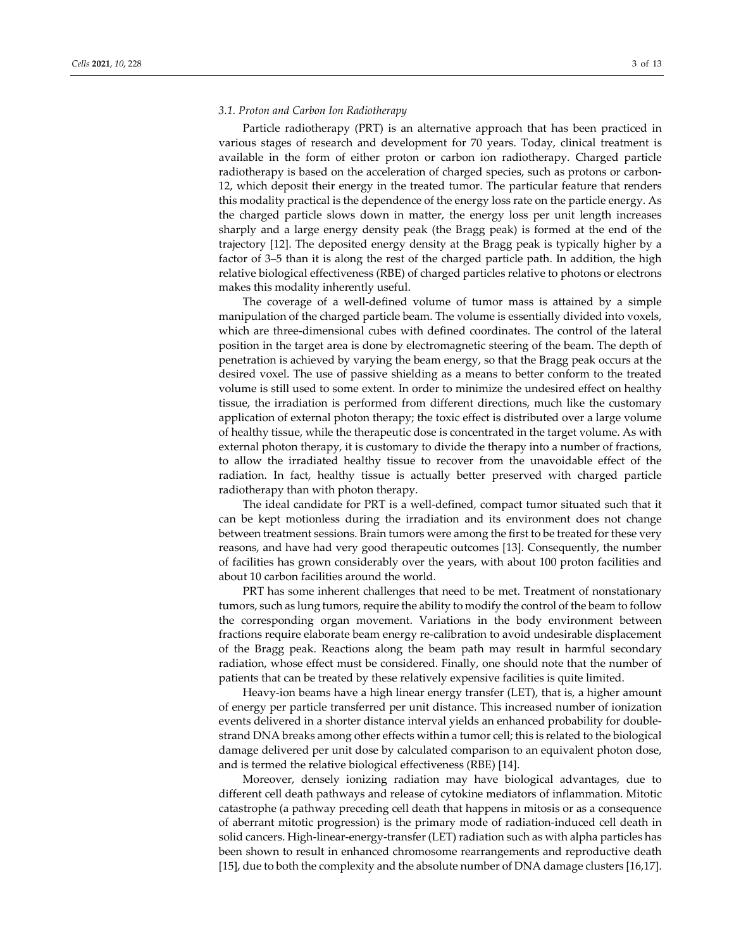#### *3.1. Proton and Carbon Ion Radiotherapy*

Particle radiotherapy (PRT) is an alternative approach that has been practiced in various stages of research and development for 70 years. Today, clinical treatment is available in the form of either proton or carbon ion radiotherapy. Charged particle radiotherapy is based on the acceleration of charged species, such as protons or carbon-12, which deposit their energy in the treated tumor. The particular feature that renders this modality practical is the dependence of the energy loss rate on the particle energy. As the charged particle slows down in matter, the energy loss per unit length increases sharply and a large energy density peak (the Bragg peak) is formed at the end of the trajectory [12]. The deposited energy density at the Bragg peak is typically higher by a factor of 3–5 than it is along the rest of the charged particle path. In addition, the high relative biological effectiveness (RBE) of charged particles relative to photons or electrons makes this modality inherently useful.

The coverage of a well-defined volume of tumor mass is attained by a simple manipulation of the charged particle beam. The volume is essentially divided into voxels, which are three-dimensional cubes with defined coordinates. The control of the lateral position in the target area is done by electromagnetic steering of the beam. The depth of penetration is achieved by varying the beam energy, so that the Bragg peak occurs at the desired voxel. The use of passive shielding as a means to better conform to the treated volume is still used to some extent. In order to minimize the undesired effect on healthy tissue, the irradiation is performed from different directions, much like the customary application of external photon therapy; the toxic effect is distributed over a large volume of healthy tissue, while the therapeutic dose is concentrated in the target volume. As with external photon therapy, it is customary to divide the therapy into a number of fractions, to allow the irradiated healthy tissue to recover from the unavoidable effect of the radiation. In fact, healthy tissue is actually better preserved with charged particle radiotherapy than with photon therapy.

The ideal candidate for PRT is a well-defined, compact tumor situated such that it can be kept motionless during the irradiation and its environment does not change between treatment sessions. Brain tumors were among the first to be treated forthese very reasons, and have had very good therapeutic outcomes [13]. Consequently, the number of facilities has grown considerably over the years, with about 100 proton facilities and about 10 carbon facilities around the world.

PRT has some inherent challenges that need to be met. Treatment of nonstationary tumors, such as lung tumors, require the ability to modify the control of the beam to follow the corresponding organ movement. Variations in the body environment between fractions require elaborate beam energy re‐calibration to avoid undesirable displacement of the Bragg peak. Reactions along the beam path may result in harmful secondary radiation, whose effect must be considered. Finally, one should note that the number of patients that can be treated by these relatively expensive facilities is quite limited.

Heavy-ion beams have a high linear energy transfer (LET), that is, a higher amount of energy per particle transferred per unit distance. This increased number of ionization events delivered in a shorter distance interval yields an enhanced probability for double‐ strand DNA breaks among other effects within a tumor cell; this is related to the biological damage delivered per unit dose by calculated comparison to an equivalent photon dose, and is termed the relative biological effectiveness (RBE) [14].

Moreover, densely ionizing radiation may have biological advantages, due to different cell death pathways and release of cytokine mediators of inflammation. Mitotic catastrophe (a pathway preceding cell death that happens in mitosis or as a consequence of aberrant mitotic progression) is the primary mode of radiation‐induced cell death in solid cancers. High‐linear‐energy‐transfer (LET) radiation such as with alpha particles has been shown to result in enhanced chromosome rearrangements and reproductive death [15], due to both the complexity and the absolute number of DNA damage clusters [16,17].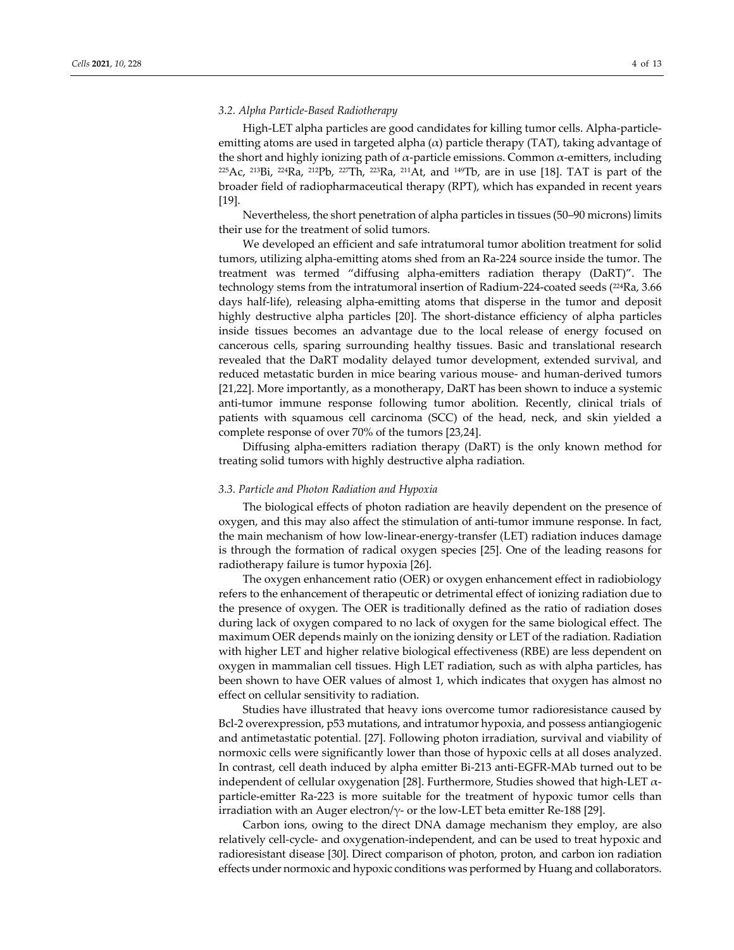#### *3.2. Alpha Particle‐Based Radiotherapy*

High‐LET alpha particles are good candidates for killing tumor cells. Alpha‐particle‐ emitting atoms are used in targeted alpha  $(\alpha)$  particle therapy (TAT), taking advantage of the short and highly ionizing path of  $\alpha$ -particle emissions. Common  $\alpha$ -emitters, including 225Ac, 213Bi, 224Ra, 212Pb, 227Th, 223Ra, 211At, and 149Tb, are in use [18]. TAT is part of the broader field of radiopharmaceutical therapy (RPT), which has expanded in recent years [19].

Nevertheless, the short penetration of alpha particles in tissues (50–90 microns) limits their use for the treatment of solid tumors.

We developed an efficient and safe intratumoral tumor abolition treatment for solid tumors, utilizing alpha‐emitting atoms shed from an Ra‐224 source inside the tumor. The treatment was termed "diffusing alpha‐emitters radiation therapy (DaRT)". The technology stems from the intratumoral insertion of Radium‐224‐coated seeds (224Ra, 3.66 days half‐life), releasing alpha‐emitting atoms that disperse in the tumor and deposit highly destructive alpha particles [20]. The short‐distance efficiency of alpha particles inside tissues becomes an advantage due to the local release of energy focused on cancerous cells, sparing surrounding healthy tissues. Basic and translational research revealed that the DaRT modality delayed tumor development, extended survival, and reduced metastatic burden in mice bearing various mouse- and human-derived tumors [21,22]. More importantly, as a monotherapy, DaRT has been shown to induce a systemic anti-tumor immune response following tumor abolition. Recently, clinical trials of patients with squamous cell carcinoma (SCC) of the head, neck, and skin yielded a complete response of over 70% of the tumors [23,24].

Diffusing alpha‐emitters radiation therapy (DaRT) is the only known method for treating solid tumors with highly destructive alpha radiation.

#### *3.3. Particle and Photon Radiation and Hypoxia*

The biological effects of photon radiation are heavily dependent on the presence of oxygen, and this may also affect the stimulation of anti‐tumor immune response. In fact, the main mechanism of how low‐linear‐energy‐transfer (LET) radiation induces damage is through the formation of radical oxygen species [25]. One of the leading reasons for radiotherapy failure is tumor hypoxia [26].

The oxygen enhancement ratio (OER) or oxygen enhancement effect in radiobiology refers to the enhancement of therapeutic or detrimental effect of ionizing radiation due to the presence of oxygen. The OER is traditionally defined as the ratio of radiation doses during lack of oxygen compared to no lack of oxygen for the same biological effect. The maximum OER depends mainly on the ionizing density or LET of the radiation. Radiation with higher LET and higher relative biological effectiveness (RBE) are less dependent on oxygen in mammalian cell tissues. High LET radiation, such as with alpha particles, has been shown to have OER values of almost 1, which indicates that oxygen has almost no effect on cellular sensitivity to radiation.

Studies have illustrated that heavy ions overcome tumor radioresistance caused by Bcl-2 overexpression, p53 mutations, and intratumor hypoxia, and possess antiangiogenic and antimetastatic potential. [27]. Following photon irradiation, survival and viability of normoxic cells were significantly lower than those of hypoxic cells at all doses analyzed. In contrast, cell death induced by alpha emitter Bi‐213 anti‐EGFR‐MAb turned out to be independent of cellular oxygenation [28]. Furthermore, Studies showed that high-LET  $\alpha$ particle‐emitter Ra‐223 is more suitable for the treatment of hypoxic tumor cells than irradiation with an Auger electron/ $\gamma$ - or the low-LET beta emitter Re-188 [29].

Carbon ions, owing to the direct DNA damage mechanism they employ, are also relatively cell‐cycle‐ and oxygenation‐independent, and can be used to treat hypoxic and radioresistant disease [30]. Direct comparison of photon, proton, and carbon ion radiation effects under normoxic and hypoxic conditions was performed by Huang and collaborators.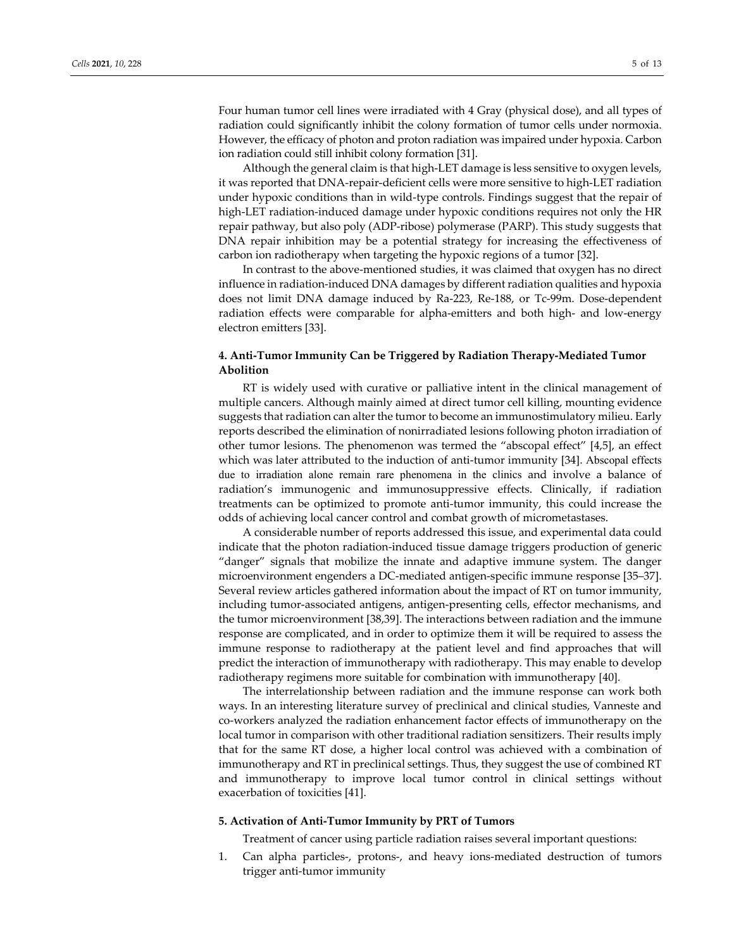Four human tumor cell lines were irradiated with 4 Gray (physical dose), and all types of radiation could significantly inhibit the colony formation of tumor cells under normoxia. However, the efficacy of photon and proton radiation was impaired under hypoxia. Carbon ion radiation could still inhibit colony formation [31].

Although the general claim is that high‐LET damage is less sensitive to oxygen levels, it was reported that DNA‐repair‐deficient cells were more sensitive to high‐LET radiation under hypoxic conditions than in wild‐type controls. Findings suggest that the repair of high-LET radiation-induced damage under hypoxic conditions requires not only the HR repair pathway, but also poly (ADP‐ribose) polymerase (PARP). This study suggests that DNA repair inhibition may be a potential strategy for increasing the effectiveness of carbon ion radiotherapy when targeting the hypoxic regions of a tumor [32].

In contrast to the above‐mentioned studies, it was claimed that oxygen has no direct influence in radiation-induced DNA damages by different radiation qualities and hypoxia does not limit DNA damage induced by Ra‐223, Re‐188, or Tc‐99m. Dose‐dependent radiation effects were comparable for alpha-emitters and both high- and low-energy electron emitters [33].

# **4. Anti‐Tumor Immunity Can be Triggered by Radiation Therapy‐Mediated Tumor Abolition**

RT is widely used with curative or palliative intent in the clinical management of multiple cancers. Although mainly aimed at direct tumor cell killing, mounting evidence suggests that radiation can alter the tumor to become an immunostimulatory milieu. Early reports described the elimination of nonirradiated lesions following photon irradiation of other tumor lesions. The phenomenon was termed the "abscopal effect" [4,5], an effect which was later attributed to the induction of anti-tumor immunity [34]. Abscopal effects due to irradiation alone remain rare phenomena in the clinics and involve a balance of radiation's immunogenic and immunosuppressive effects. Clinically, if radiation treatments can be optimized to promote anti‐tumor immunity, this could increase the odds of achieving local cancer control and combat growth of micrometastases.

A considerable number of reports addressed this issue, and experimental data could indicate that the photon radiation‐induced tissue damage triggers production of generic "danger" signals that mobilize the innate and adaptive immune system. The danger microenvironment engenders a DC‐mediated antigen‐specific immune response [35–37]. Several review articles gathered information about the impact of RT on tumor immunity, including tumor-associated antigens, antigen-presenting cells, effector mechanisms, and the tumor microenvironment [38,39]. The interactions between radiation and the immune response are complicated, and in order to optimize them it will be required to assess the immune response to radiotherapy at the patient level and find approaches that will predict the interaction of immunotherapy with radiotherapy. This may enable to develop radiotherapy regimens more suitable for combination with immunotherapy [40].

The interrelationship between radiation and the immune response can work both ways. In an interesting literature survey of preclinical and clinical studies, Vanneste and co‐workers analyzed the radiation enhancement factor effects of immunotherapy on the local tumor in comparison with other traditional radiation sensitizers. Their results imply that for the same RT dose, a higher local control was achieved with a combination of immunotherapy and RT in preclinical settings. Thus, they suggest the use of combined RT and immunotherapy to improve local tumor control in clinical settings without exacerbation of toxicities [41].

#### **5. Activation of Anti‐Tumor Immunity by PRT of Tumors**

Treatment of cancer using particle radiation raises several important questions:

1. Can alpha particles-, protons-, and heavy ions-mediated destruction of tumors trigger anti‐tumor immunity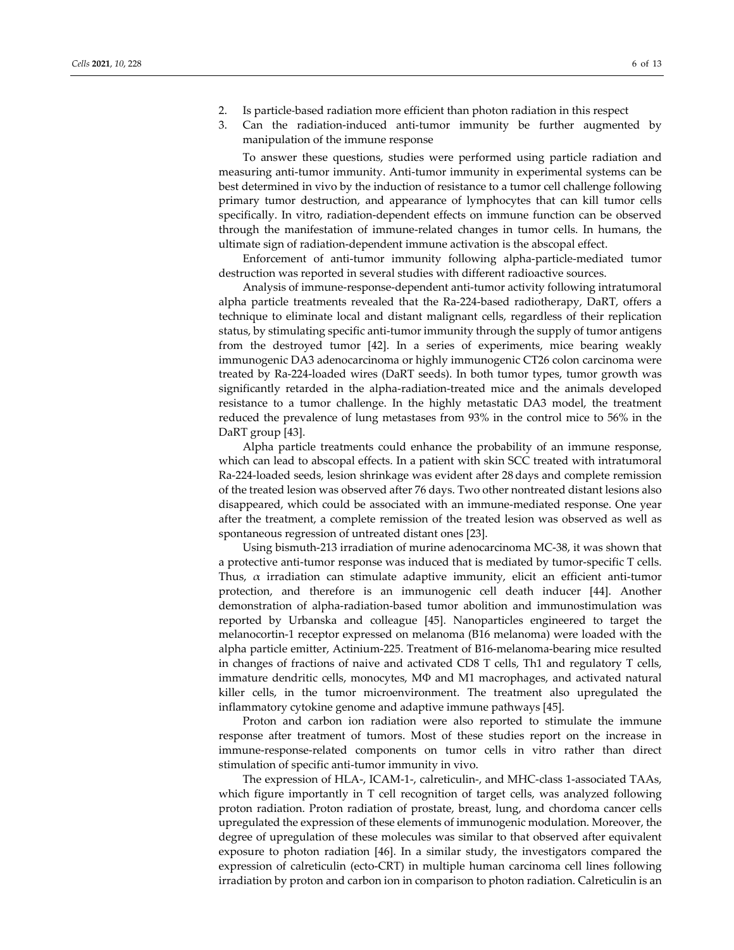- 2. Is particle‐based radiation more efficient than photon radiation in this respect
- 3. Can the radiation‐induced anti‐tumor immunity be further augmented by manipulation of the immune response

To answer these questions, studies were performed using particle radiation and measuring anti‐tumor immunity. Anti‐tumor immunity in experimental systems can be best determined in vivo by the induction of resistance to a tumor cell challenge following primary tumor destruction, and appearance of lymphocytes that can kill tumor cells specifically. In vitro, radiation‐dependent effects on immune function can be observed through the manifestation of immune‐related changes in tumor cells. In humans, the ultimate sign of radiation‐dependent immune activation is the abscopal effect.

Enforcement of anti‐tumor immunity following alpha‐particle‐mediated tumor destruction was reported in several studies with different radioactive sources.

Analysis of immune‐response‐dependent anti‐tumor activity following intratumoral alpha particle treatments revealed that the Ra‐224‐based radiotherapy, DaRT, offers a technique to eliminate local and distant malignant cells, regardless of their replication status, by stimulating specific anti‐tumor immunity through the supply of tumor antigens from the destroyed tumor [42]. In a series of experiments, mice bearing weakly immunogenic DA3 adenocarcinoma or highly immunogenic CT26 colon carcinoma were treated by Ra‐224‐loaded wires (DaRT seeds). In both tumor types, tumor growth was significantly retarded in the alpha‐radiation‐treated mice and the animals developed resistance to a tumor challenge. In the highly metastatic DA3 model, the treatment reduced the prevalence of lung metastases from 93% in the control mice to 56% in the DaRT group [43].

Alpha particle treatments could enhance the probability of an immune response, which can lead to abscopal effects. In a patient with skin SCC treated with intratumoral Ra‐224‐loaded seeds, lesion shrinkage was evident after 28 days and complete remission of the treated lesion was observed after 76 days. Two other nontreated distant lesions also disappeared, which could be associated with an immune‐mediated response. One year after the treatment, a complete remission of the treated lesion was observed as well as spontaneous regression of untreated distant ones [23].

Using bismuth‐213 irradiation of murine adenocarcinoma MC‐38, it was shown that a protective anti-tumor response was induced that is mediated by tumor-specific T cells. Thus,  $\alpha$  irradiation can stimulate adaptive immunity, elicit an efficient anti-tumor protection, and therefore is an immunogenic cell death inducer [44]. Another demonstration of alpha‐radiation‐based tumor abolition and immunostimulation was reported by Urbanska and colleague [45]. Nanoparticles engineered to target the melanocortin‐1 receptor expressed on melanoma (B16 melanoma) were loaded with the alpha particle emitter, Actinium‐225. Treatment of B16‐melanoma‐bearing mice resulted in changes of fractions of naive and activated CD8 T cells, Th1 and regulatory T cells, immature dendritic cells, monocytes, MΦ and M1 macrophages, and activated natural killer cells, in the tumor microenvironment. The treatment also upregulated the inflammatory cytokine genome and adaptive immune pathways [45].

Proton and carbon ion radiation were also reported to stimulate the immune response after treatment of tumors. Most of these studies report on the increase in immune‐response‐related components on tumor cells in vitro rather than direct stimulation of specific anti‐tumor immunity in vivo.

The expression of HLA‐, ICAM‐1‐, calreticulin‐, and MHC‐class 1‐associated TAAs, which figure importantly in T cell recognition of target cells, was analyzed following proton radiation. Proton radiation of prostate, breast, lung, and chordoma cancer cells upregulated the expression of these elements of immunogenic modulation. Moreover, the degree of upregulation of these molecules was similar to that observed after equivalent exposure to photon radiation [46]. In a similar study, the investigators compared the expression of calreticulin (ecto‐CRT) in multiple human carcinoma cell lines following irradiation by proton and carbon ion in comparison to photon radiation. Calreticulin is an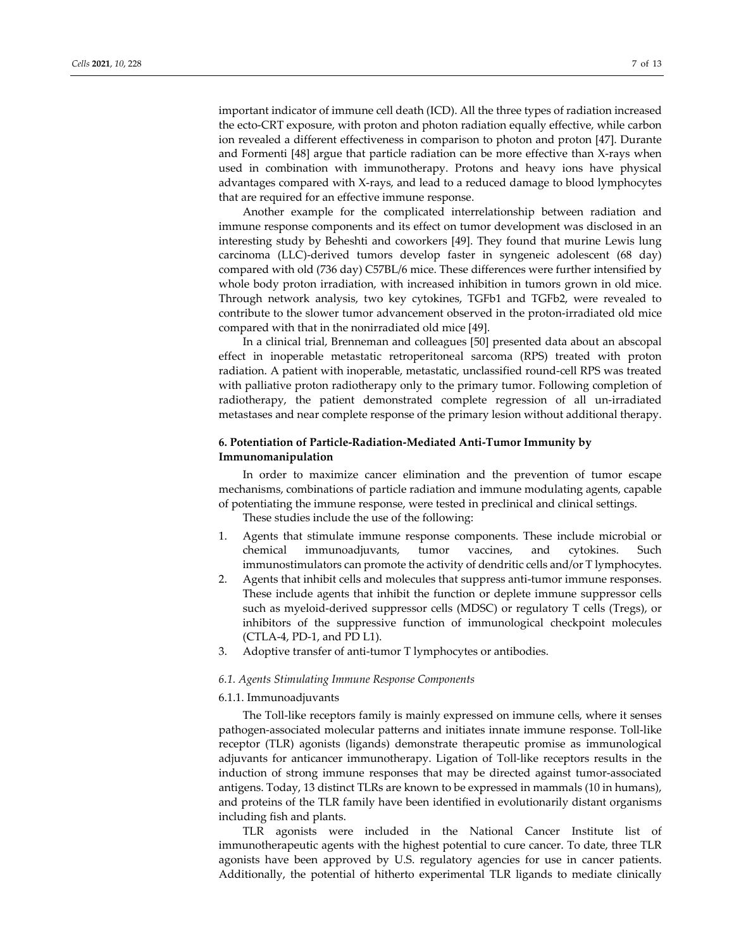important indicator of immune cell death (ICD). All the three types of radiation increased the ecto‐CRT exposure, with proton and photon radiation equally effective, while carbon ion revealed a different effectiveness in comparison to photon and proton [47]. Durante and Formenti [48] argue that particle radiation can be more effective than X‐rays when used in combination with immunotherapy. Protons and heavy ions have physical advantages compared with X‐rays, and lead to a reduced damage to blood lymphocytes that are required for an effective immune response.

Another example for the complicated interrelationship between radiation and immune response components and its effect on tumor development was disclosed in an interesting study by Beheshti and coworkers [49]. They found that murine Lewis lung carcinoma (LLC)‐derived tumors develop faster in syngeneic adolescent (68 day) compared with old (736 day) C57BL/6 mice. These differences were further intensified by whole body proton irradiation, with increased inhibition in tumors grown in old mice. Through network analysis, two key cytokines, TGFb1 and TGFb2, were revealed to contribute to the slower tumor advancement observed in the proton‐irradiated old mice compared with that in the nonirradiated old mice [49].

In a clinical trial, Brenneman and colleagues [50] presented data about an abscopal effect in inoperable metastatic retroperitoneal sarcoma (RPS) treated with proton radiation. A patient with inoperable, metastatic, unclassified round‐cell RPS was treated with palliative proton radiotherapy only to the primary tumor. Following completion of radiotherapy, the patient demonstrated complete regression of all un-irradiated metastases and near complete response of the primary lesion without additional therapy.

# **6. Potentiation of Particle‐Radiation‐Mediated Anti‐Tumor Immunity by Immunomanipulation**

In order to maximize cancer elimination and the prevention of tumor escape mechanisms, combinations of particle radiation and immune modulating agents, capable of potentiating the immune response, were tested in preclinical and clinical settings.

These studies include the use of the following:

- 1. Agents that stimulate immune response components. These include microbial or chemical immunoadjuvants, tumor vaccines, and cytokines. Such immunostimulators can promote the activity of dendritic cells and/or T lymphocytes.
- 2. Agents that inhibit cells and molecules that suppress anti-tumor immune responses. These include agents that inhibit the function or deplete immune suppressor cells such as myeloid‐derived suppressor cells (MDSC) or regulatory T cells (Tregs), or inhibitors of the suppressive function of immunological checkpoint molecules (CTLA‐4, PD‐1, and PD L1).
- 3. Adoptive transfer of anti-tumor T lymphocytes or antibodies.

#### *6.1. Agents Stimulating Immune Response Components*

#### 6.1.1. Immunoadjuvants

The Toll-like receptors family is mainly expressed on immune cells, where it senses pathogen‐associated molecular patterns and initiates innate immune response. Toll‐like receptor (TLR) agonists (ligands) demonstrate therapeutic promise as immunological adjuvants for anticancer immunotherapy. Ligation of Toll‐like receptors results in the induction of strong immune responses that may be directed against tumor-associated antigens. Today, 13 distinct TLRs are known to be expressed in mammals (10 in humans), and proteins of the TLR family have been identified in evolutionarily distant organisms including fish and plants.

TLR agonists were included in the National Cancer Institute list of immunotherapeutic agents with the highest potential to cure cancer. To date, three TLR agonists have been approved by U.S. regulatory agencies for use in cancer patients. Additionally, the potential of hitherto experimental TLR ligands to mediate clinically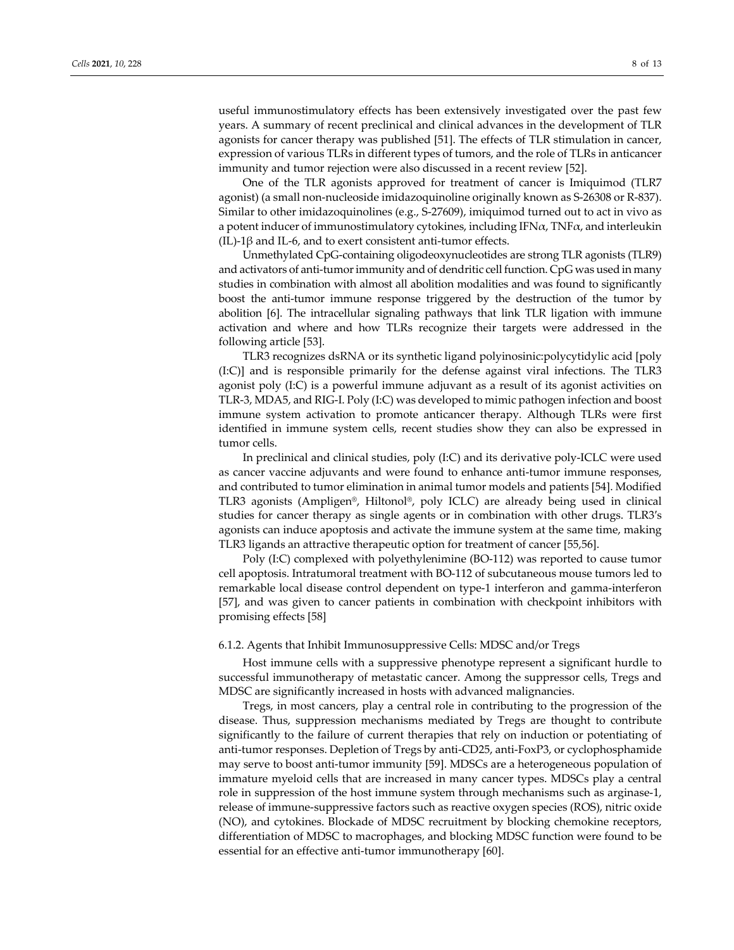useful immunostimulatory effects has been extensively investigated over the past few years. A summary of recent preclinical and clinical advances in the development of TLR agonists for cancer therapy was published [51]. The effects of TLR stimulation in cancer, expression of various TLRs in different types of tumors, and the role of TLRs in anticancer immunity and tumor rejection were also discussed in a recent review [52].

One of the TLR agonists approved for treatment of cancer is Imiquimod (TLR7 agonist) (a small non‐nucleoside imidazoquinoline originally known as S‐26308 or R‐837). Similar to other imidazoquinolines (e.g., S‐27609), imiquimod turned out to act in vivo as a potent inducer of immunostimulatory cytokines, including IFN $\alpha$ , TNF $\alpha$ , and interleukin  $(IL)-1\beta$  and IL-6, and to exert consistent anti-tumor effects.

Unmethylated CpG‐containing oligodeoxynucleotides are strong TLR agonists (TLR9) and activators of anti-tumor immunity and of dendritic cell function. CpG was used in many studies in combination with almost all abolition modalities and was found to significantly boost the anti‐tumor immune response triggered by the destruction of the tumor by abolition [6]. The intracellular signaling pathways that link TLR ligation with immune activation and where and how TLRs recognize their targets were addressed in the following article [53].

TLR3 recognizes dsRNA or its synthetic ligand polyinosinic:polycytidylic acid [poly (I:C)] and is responsible primarily for the defense against viral infections. The TLR3 agonist poly (I:C) is a powerful immune adjuvant as a result of its agonist activities on TLR‐3, MDA5, and RIG‐I. Poly (I:C) was developed to mimic pathogen infection and boost immune system activation to promote anticancer therapy. Although TLRs were first identified in immune system cells, recent studies show they can also be expressed in tumor cells.

In preclinical and clinical studies, poly (I:C) and its derivative poly‐ICLC were used as cancer vaccine adjuvants and were found to enhance anti-tumor immune responses, and contributed to tumor elimination in animal tumor models and patients [54]. Modified TLR3 agonists (Ampligen®, Hiltonol®, poly ICLC) are already being used in clinical studies for cancer therapy as single agents or in combination with other drugs. TLR3′s agonists can induce apoptosis and activate the immune system at the same time, making TLR3 ligands an attractive therapeutic option for treatment of cancer [55,56].

Poly (I:C) complexed with polyethylenimine (BO‐112) was reported to cause tumor cell apoptosis. Intratumoral treatment with BO‐112 of subcutaneous mouse tumors led to remarkable local disease control dependent on type‐1 interferon and gamma‐interferon [57], and was given to cancer patients in combination with checkpoint inhibitors with promising effects [58]

#### 6.1.2. Agents that Inhibit Immunosuppressive Cells: MDSC and/or Tregs

Host immune cells with a suppressive phenotype represent a significant hurdle to successful immunotherapy of metastatic cancer. Among the suppressor cells, Tregs and MDSC are significantly increased in hosts with advanced malignancies.

Tregs, in most cancers, play a central role in contributing to the progression of the disease. Thus, suppression mechanisms mediated by Tregs are thought to contribute significantly to the failure of current therapies that rely on induction or potentiating of anti-tumor responses. Depletion of Tregs by anti-CD25, anti-FoxP3, or cyclophosphamide may serve to boost anti‐tumor immunity [59]. MDSCs are a heterogeneous population of immature myeloid cells that are increased in many cancer types. MDSCs play a central role in suppression of the host immune system through mechanisms such as arginase‐1, release of immune‐suppressive factors such as reactive oxygen species (ROS), nitric oxide (NO), and cytokines. Blockade of MDSC recruitment by blocking chemokine receptors, differentiation of MDSC to macrophages, and blocking MDSC function were found to be essential for an effective anti‐tumor immunotherapy [60].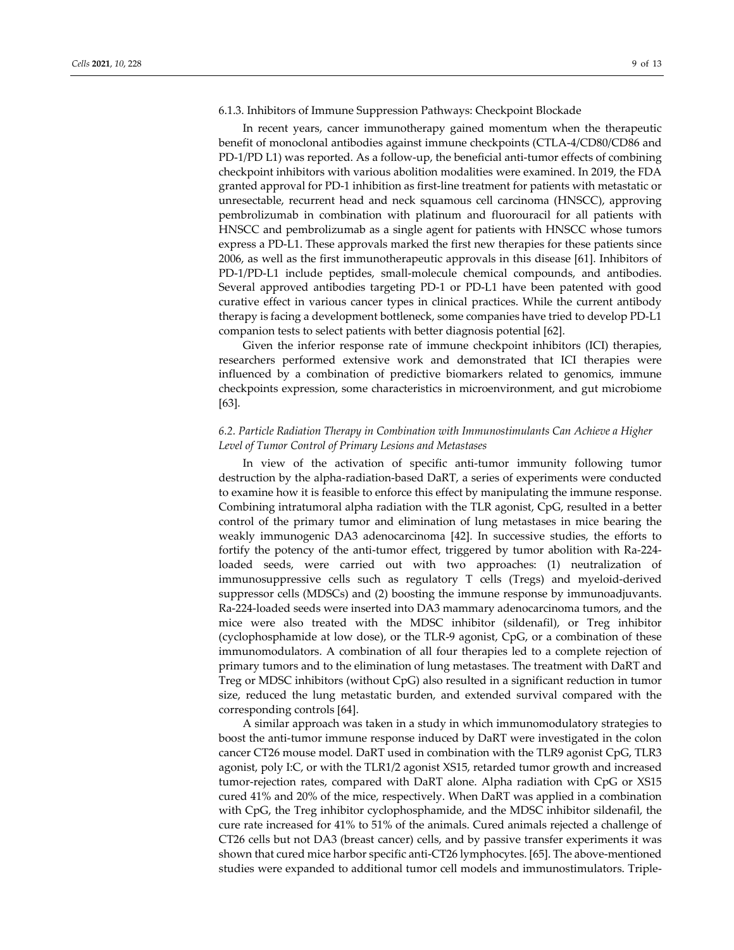## 6.1.3. Inhibitors of Immune Suppression Pathways: Checkpoint Blockade

In recent years, cancer immunotherapy gained momentum when the therapeutic benefit of monoclonal antibodies against immune checkpoints (CTLA‐4/CD80/CD86 and PD-1/PD L1) was reported. As a follow-up, the beneficial anti-tumor effects of combining checkpoint inhibitors with various abolition modalities were examined. In 2019, the FDA granted approval for PD‐1 inhibition as first‐line treatment for patients with metastatic or unresectable, recurrent head and neck squamous cell carcinoma (HNSCC), approving pembrolizumab in combination with platinum and fluorouracil for all patients with HNSCC and pembrolizumab as a single agent for patients with HNSCC whose tumors express a PD-L1. These approvals marked the first new therapies for these patients since 2006, as well as the first immunotherapeutic approvals in this disease [61]. Inhibitors of PD‐1/PD‐L1 include peptides, small‐molecule chemical compounds, and antibodies. Several approved antibodies targeting PD‐1 or PD‐L1 have been patented with good curative effect in various cancer types in clinical practices. While the current antibody therapy is facing a development bottleneck, some companies have tried to develop PD‐L1 companion tests to select patients with better diagnosis potential [62].

Given the inferior response rate of immune checkpoint inhibitors (ICI) therapies, researchers performed extensive work and demonstrated that ICI therapies were influenced by a combination of predictive biomarkers related to genomics, immune checkpoints expression, some characteristics in microenvironment, and gut microbiome [63].

## *6.2. Particle Radiation Therapy in Combination with Immunostimulants Can Achieve a Higher Level of Tumor Control of Primary Lesions and Metastases*

In view of the activation of specific anti-tumor immunity following tumor destruction by the alpha‐radiation‐based DaRT, a series of experiments were conducted to examine how it is feasible to enforce this effect by manipulating the immune response. Combining intratumoral alpha radiation with the TLR agonist, CpG, resulted in a better control of the primary tumor and elimination of lung metastases in mice bearing the weakly immunogenic DA3 adenocarcinoma [42]. In successive studies, the efforts to fortify the potency of the anti-tumor effect, triggered by tumor abolition with Ra-224loaded seeds, were carried out with two approaches: (1) neutralization of immunosuppressive cells such as regulatory T cells (Tregs) and myeloid‐derived suppressor cells (MDSCs) and (2) boosting the immune response by immunoadjuvants. Ra‐224‐loaded seeds were inserted into DA3 mammary adenocarcinoma tumors, and the mice were also treated with the MDSC inhibitor (sildenafil), or Treg inhibitor (cyclophosphamide at low dose), or the TLR‐9 agonist, CpG, or a combination of these immunomodulators. A combination of all four therapies led to a complete rejection of primary tumors and to the elimination of lung metastases. The treatment with DaRT and Treg or MDSC inhibitors (without CpG) also resulted in a significant reduction in tumor size, reduced the lung metastatic burden, and extended survival compared with the corresponding controls [64].

A similar approach was taken in a study in which immunomodulatory strategies to boost the anti-tumor immune response induced by DaRT were investigated in the colon cancer CT26 mouse model. DaRT used in combination with the TLR9 agonist CpG, TLR3 agonist, poly I:C, or with the TLR1/2 agonist XS15, retarded tumor growth and increased tumor-rejection rates, compared with DaRT alone. Alpha radiation with CpG or XS15 cured 41% and 20% of the mice, respectively. When DaRT was applied in a combination with CpG, the Treg inhibitor cyclophosphamide, and the MDSC inhibitor sildenafil, the cure rate increased for 41% to 51% of the animals. Cured animals rejected a challenge of CT26 cells but not DA3 (breast cancer) cells, and by passive transfer experiments it was shown that cured mice harbor specific anti-CT26 lymphocytes. [65]. The above-mentioned studies were expanded to additional tumor cell models and immunostimulators. Triple‐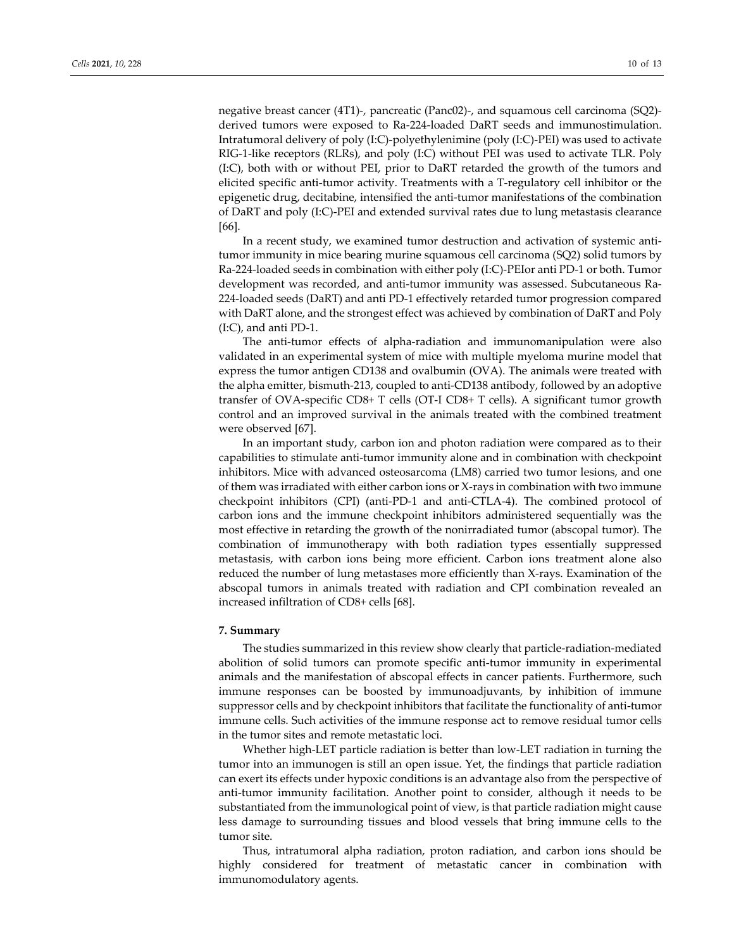negative breast cancer (4T1)‐, pancreatic (Panc02)‐, and squamous cell carcinoma (SQ2)‐ derived tumors were exposed to Ra‐224‐loaded DaRT seeds and immunostimulation. Intratumoral delivery of poly (I:C)‐polyethylenimine (poly (I:C)‐PEI) was used to activate RIG‐1‐like receptors (RLRs), and poly (I:C) without PEI was used to activate TLR. Poly (I:C), both with or without PEI, prior to DaRT retarded the growth of the tumors and elicited specific anti-tumor activity. Treatments with a T-regulatory cell inhibitor or the epigenetic drug, decitabine, intensified the anti‐tumor manifestations of the combination of DaRT and poly (I:C)‐PEI and extended survival rates due to lung metastasis clearance [66].

In a recent study, we examined tumor destruction and activation of systemic antitumor immunity in mice bearing murine squamous cell carcinoma (SQ2) solid tumors by Ra‐224‐loaded seeds in combination with either poly (I:C)‐PEIor anti PD‐1 or both. Tumor development was recorded, and anti‐tumor immunity was assessed. Subcutaneous Ra‐ 224‐loaded seeds (DaRT) and anti PD‐1 effectively retarded tumor progression compared with DaRT alone, and the strongest effect was achieved by combination of DaRT and Poly (I:C), and anti PD‐1.

The anti-tumor effects of alpha-radiation and immunomanipulation were also validated in an experimental system of mice with multiple myeloma murine model that express the tumor antigen CD138 and ovalbumin (OVA). The animals were treated with the alpha emitter, bismuth‐213, coupled to anti‐CD138 antibody, followed by an adoptive transfer of OVA‐specific CD8+ T cells (OT‐I CD8+ T cells). A significant tumor growth control and an improved survival in the animals treated with the combined treatment were observed [67].

In an important study, carbon ion and photon radiation were compared as to their capabilities to stimulate anti‐tumor immunity alone and in combination with checkpoint inhibitors. Mice with advanced osteosarcoma (LM8) carried two tumor lesions, and one of them was irradiated with either carbon ions or X‐rays in combination with two immune checkpoint inhibitors (CPI) (anti‐PD‐1 and anti‐CTLA‐4). The combined protocol of carbon ions and the immune checkpoint inhibitors administered sequentially was the most effective in retarding the growth of the nonirradiated tumor (abscopal tumor). The combination of immunotherapy with both radiation types essentially suppressed metastasis, with carbon ions being more efficient. Carbon ions treatment alone also reduced the number of lung metastases more efficiently than X-rays. Examination of the abscopal tumors in animals treated with radiation and CPI combination revealed an increased infiltration of CD8+ cells [68].

#### **7. Summary**

The studies summarized in this review show clearly that particle‐radiation‐mediated abolition of solid tumors can promote specific anti‐tumor immunity in experimental animals and the manifestation of abscopal effects in cancer patients. Furthermore, such immune responses can be boosted by immunoadjuvants, by inhibition of immune suppressor cells and by checkpoint inhibitors that facilitate the functionality of anti-tumor immune cells. Such activities of the immune response act to remove residual tumor cells in the tumor sites and remote metastatic loci.

Whether high‐LET particle radiation is better than low‐LET radiation in turning the tumor into an immunogen is still an open issue. Yet, the findings that particle radiation can exert its effects under hypoxic conditions is an advantage also from the perspective of anti-tumor immunity facilitation. Another point to consider, although it needs to be substantiated from the immunological point of view, is that particle radiation might cause less damage to surrounding tissues and blood vessels that bring immune cells to the tumor site.

Thus, intratumoral alpha radiation, proton radiation, and carbon ions should be highly considered for treatment of metastatic cancer in combination with immunomodulatory agents.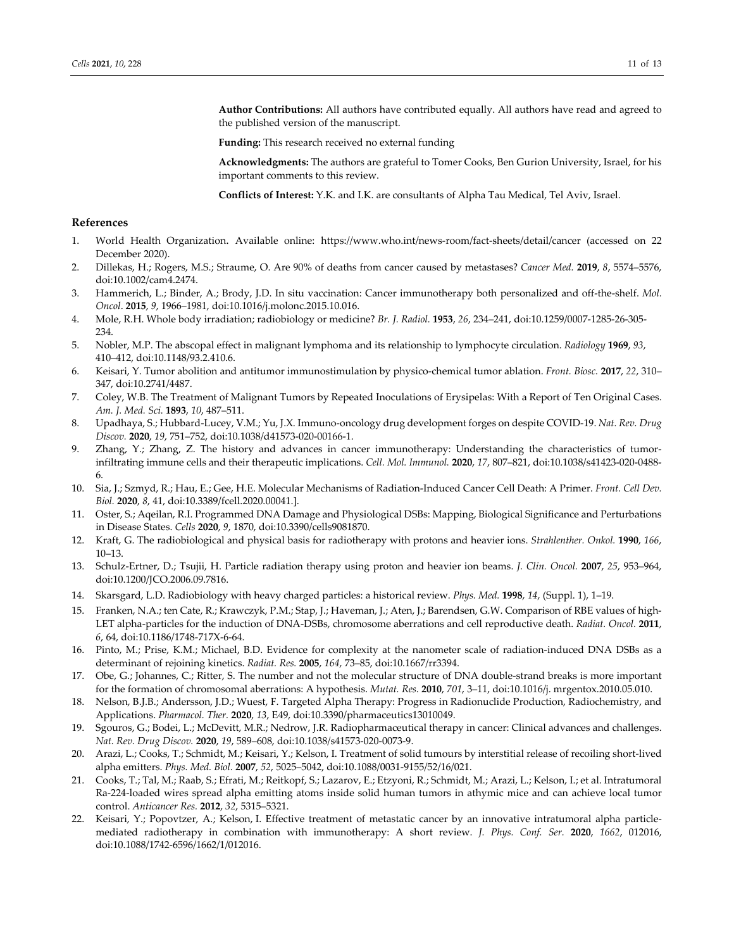**Author Contributions:** All authors have contributed equally. All authors have read and agreed to the published version of the manuscript.

**Funding:** This research received no external funding

**Acknowledgments:** The authors are grateful to Tomer Cooks, Ben Gurion University, Israel, for his important comments to this review.

**Conflicts of Interest:** Y.K. and I.K. are consultants of Alpha Tau Medical, Tel Aviv, Israel.

### **References**

- 1. World Health Organization. Available online: https://www.who.int/news-room/fact-sheets/detail/cancer (accessed on 22 December 2020).
- 2. Dillekas, H.; Rogers, M.S.; Straume, O. Are 90% of deaths from cancer caused by metastases? *Cancer Med.* **2019**, *8*, 5574–5576, doi:10.1002/cam4.2474.
- 3. Hammerich, L.; Binder, A.; Brody, J.D. In situ vaccination: Cancer immunotherapy both personalized and off‐the‐shelf. *Mol. Oncol*. **2015**, *9*, 1966–1981, doi:10.1016/j.molonc.2015.10.016.
- 4. Mole, R.H. Whole body irradiation; radiobiology or medicine? *Br. J. Radiol.* **1953**, *26*, 234–241, doi:10.1259/0007‐1285‐26‐305‐ 234.
- 5. Nobler, M.P. The abscopal effect in malignant lymphoma and its relationship to lymphocyte circulation. *Radiology* **1969**, *93*, 410–412, doi:10.1148/93.2.410.6.
- 6. Keisari, Y. Tumor abolition and antitumor immunostimulation by physico‐chemical tumor ablation. *Front. Biosc.* **2017**, *22*, 310– 347, doi:10.2741/4487.
- 7. Coley, W.B. The Treatment of Malignant Tumors by Repeated Inoculations of Erysipelas: With a Report of Ten Original Cases. *Am. J. Med. Sci.* **1893**, *10*, 487–511.
- 8. Upadhaya, S.; Hubbard‐Lucey, V.M.; Yu, J.X. Immuno‐oncology drug development forges on despite COVID‐19. *Nat. Rev. Drug Discov.* **2020**, *19*, 751–752, doi:10.1038/d41573‐020‐00166‐1.
- 9. Zhang, Y.; Zhang, Z. The history and advances in cancer immunotherapy: Understanding the characteristics of tumorinfiltrating immune cells and their therapeutic implications. *Cell. Mol. Immunol.* **2020**, *17*, 807–821, doi:10.1038/s41423‐020‐0488‐ 6.
- 10. Sia, J.; Szmyd, R.; Hau, E.; Gee, H.E. Molecular Mechanisms of Radiation‐Induced Cancer Cell Death: A Primer. *Front. Cell Dev. Biol.* **2020**, *8*, 41, doi:10.3389/fcell.2020.00041.].
- 11. Oster, S.; Aqeilan, R.I. Programmed DNA Damage and Physiological DSBs: Mapping, Biological Significance and Perturbations in Disease States. *Cells* **2020**, *9*, 1870, doi:10.3390/cells9081870.
- 12. Kraft, G. The radiobiological and physical basis for radiotherapy with protons and heavier ions. *Strahlenther. Onkol.* **1990**, *166*, 10–13.
- 13. Schulz‐Ertner, D.; Tsujii, H. Particle radiation therapy using proton and heavier ion beams. *J. Clin. Oncol.* **2007**, *25*, 953–964, doi:10.1200/JCO.2006.09.7816.
- 14. Skarsgard, L.D. Radiobiology with heavy charged particles: a historical review. *Phys. Med.* **1998**, *14*, (Suppl. 1), 1–19.
- 15. Franken, N.A.; ten Cate, R.; Krawczyk, P.M.; Stap, J.; Haveman, J.; Aten, J.; Barendsen, G.W. Comparison of RBE values of high‐ LET alpha‐particles for the induction of DNA‐DSBs, chromosome aberrations and cell reproductive death. *Radiat. Oncol.* **2011**, *6*, 64, doi:10.1186/1748‐717X‐6‐64.
- 16. Pinto, M.; Prise, K.M.; Michael, B.D. Evidence for complexity at the nanometer scale of radiation-induced DNA DSBs as a determinant of rejoining kinetics. *Radiat. Res.* **2005**, *164*, 73–85, doi:10.1667/rr3394.
- 17. Obe, G.; Johannes, C.; Ritter, S. The number and not the molecular structure of DNA double‐strand breaks is more important for the formation of chromosomal aberrations: A hypothesis. *Mutat. Res.* **2010**, *701*, 3–11, doi:10.1016/j. mrgentox.2010.05.010.
- 18. Nelson, B.J.B.; Andersson, J.D.; Wuest, F. Targeted Alpha Therapy: Progress in Radionuclide Production, Radiochemistry, and Applications. *Pharmacol. Ther.* **2020**, *13*, E49, doi:10.3390/pharmaceutics13010049.
- 19. Sgouros, G.; Bodei, L.; McDevitt, M.R.; Nedrow, J.R. Radiopharmaceutical therapy in cancer: Clinical advances and challenges. *Nat. Rev. Drug Discov.* **2020**, *19*, 589–608, doi:10.1038/s41573‐020‐0073‐9.
- 20. Arazi, L.; Cooks, T.; Schmidt, M.; Keisari, Y.; Kelson, I. Treatment of solid tumours by interstitial release of recoiling short‐lived alpha emitters. *Phys. Med. Biol.* **2007**, *52*, 5025–5042, doi:10.1088/0031‐9155/52/16/021.
- 21. Cooks, T.; Tal, M.; Raab, S.; Efrati, M.; Reitkopf, S.; Lazarov, E.; Etzyoni, R.; Schmidt, M.; Arazi, L.; Kelson, I.; et al. Intratumoral Ra‐224‐loaded wires spread alpha emitting atoms inside solid human tumors in athymic mice and can achieve local tumor control. *Anticancer Res.* **2012**, *32*, 5315–5321.
- 22. Keisari, Y.; Popovtzer, A.; Kelson, I. Effective treatment of metastatic cancer by an innovative intratumoral alpha particlemediated radiotherapy in combination with immunotherapy: A short review. *J. Phys. Conf. Ser.* **2020**, *1662*, 012016, doi:10.1088/1742‐6596/1662/1/012016.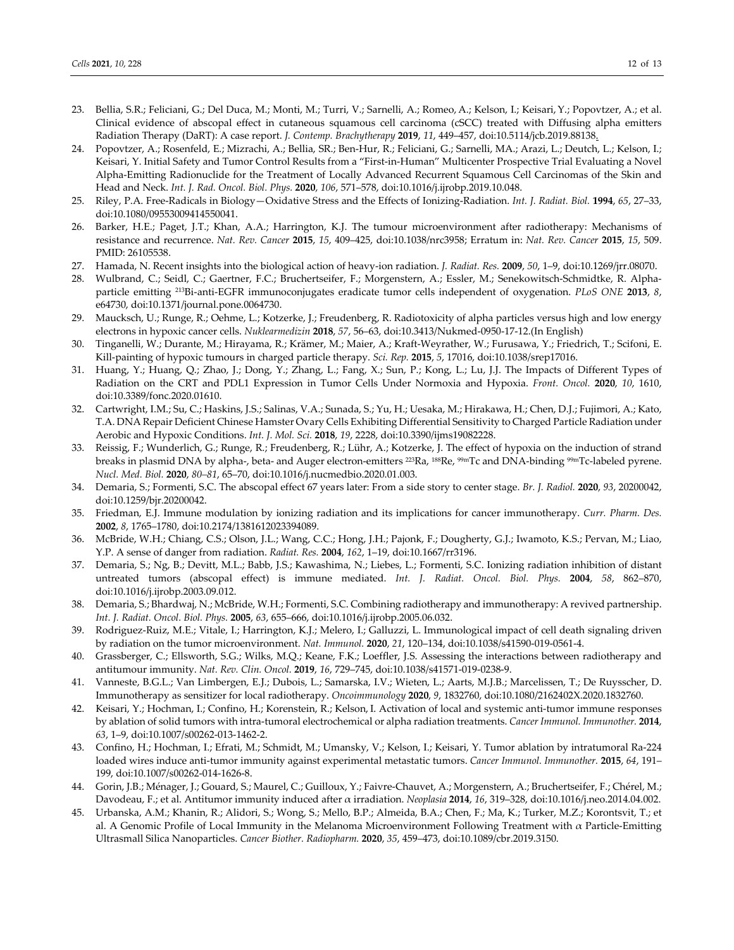- 23. Bellia, S.R.; Feliciani, G.; Del Duca, M.; Monti, M.; Turri, V.; Sarnelli, A.; Romeo, A.; Kelson, I.; Keisari, Y.; Popovtzer, A.; et al. Clinical evidence of abscopal effect in cutaneous squamous cell carcinoma (cSCC) treated with Diffusing alpha emitters Radiation Therapy (DaRT): A case report. *J. Contemp. Brachytherapy* **2019**, *11*, 449–457, doi:10.5114/jcb.2019.88138.
- 24. Popovtzer, A.; Rosenfeld, E.; Mizrachi, A.; Bellia, SR.; Ben-Hur, R.; Feliciani, G.; Sarnelli, MA.; Arazi, L.; Deutch, L.; Kelson, I.; Keisari, Y. Initial Safety and Tumor Control Results from a "First‐in‐Human" Multicenter Prospective Trial Evaluating a Novel Alpha‐Emitting Radionuclide for the Treatment of Locally Advanced Recurrent Squamous Cell Carcinomas of the Skin and Head and Neck. *Int. J. Rad. Oncol. Biol. Phys.* **2020**, *106*, 571–578, doi:10.1016/j.ijrobp.2019.10.048.
- 25. Riley, P.A. Free‐Radicals in Biology—Oxidative Stress and the Effects of Ionizing‐Radiation. *Int. J. Radiat. Biol.* **1994**, *65*, 27–33, doi:10.1080/09553009414550041.
- 26. Barker, H.E.; Paget, J.T.; Khan, A.A.; Harrington, K.J. The tumour microenvironment after radiotherapy: Mechanisms of resistance and recurrence. *Nat. Rev. Cancer* **2015**, *15*, 409–425, doi:10.1038/nrc3958; Erratum in: *Nat. Rev. Cancer* **2015**, *15*, 509. PMID: 26105538.
- 27. Hamada, N. Recent insights into the biological action of heavy‐ion radiation. *J. Radiat. Res.* **2009**, *50*, 1–9, doi:10.1269/jrr.08070.
- 28. Wulbrand, C.; Seidl, C.; Gaertner, F.C.; Bruchertseifer, F.; Morgenstern, A.; Essler, M.; Senekowitsch‐Schmidtke, R. Alpha‐ particle emitting 213Bi‐anti‐EGFR immunoconjugates eradicate tumor cells independent of oxygenation. *PLoS ONE* **2013**, *8*, e64730, doi:10.1371/journal.pone.0064730.
- 29. Maucksch, U.; Runge, R.; Oehme, L.; Kotzerke, J.; Freudenberg, R. Radiotoxicity of alpha particles versus high and low energy electrons in hypoxic cancer cells. *Nuklearmedizin* **2018**, *57*, 56–63, doi:10.3413/Nukmed‐0950‐17‐12.(In English)
- 30. Tinganelli, W.; Durante, M.; Hirayama, R.; Krämer, M.; Maier, A.; Kraft‐Weyrather, W.; Furusawa, Y.; Friedrich, T.; Scifoni, E. Kill‐painting of hypoxic tumours in charged particle therapy. *Sci. Rep.* **2015**, *5*, 17016, doi:10.1038/srep17016.
- 31. Huang, Y.; Huang, Q.; Zhao, J.; Dong, Y.; Zhang, L.; Fang, X.; Sun, P.; Kong, L.; Lu, J.J. The Impacts of Different Types of Radiation on the CRT and PDL1 Expression in Tumor Cells Under Normoxia and Hypoxia. *Front. Oncol.* **2020**, *10*, 1610, doi:10.3389/fonc.2020.01610.
- 32. Cartwright, I.M.; Su, C.; Haskins, J.S.; Salinas, V.A.; Sunada, S.; Yu, H.; Uesaka, M.; Hirakawa, H.; Chen, D.J.; Fujimori, A.; Kato, T.A. DNA Repair Deficient Chinese Hamster Ovary Cells Exhibiting Differential Sensitivity to Charged Particle Radiation under Aerobic and Hypoxic Conditions. *Int. J. Mol. Sci.* **2018**, *19*, 2228, doi:10.3390/ijms19082228.
- 33. Reissig, F.; Wunderlich, G.; Runge, R.; Freudenberg, R.; Lühr, A.; Kotzerke, J. The effect of hypoxia on the induction of strand breaks in plasmid DNA by alpha-, beta- and Auger electron-emitters <sup>223</sup>Ra, <sup>188</sup>Re, <sup>99m</sup>Tc and DNA-binding <sup>99m</sup>Tc-labeled pyrene. *Nucl. Med. Biol.* **2020**, *80–81*, 65–70, doi:10.1016/j.nucmedbio.2020.01.003.
- 34. Demaria, S.; Formenti, S.C. The abscopal effect 67 years later: From a side story to center stage. *Br. J. Radiol.* **2020**, *93*, 20200042, doi:10.1259/bjr.20200042.
- 35. Friedman, E.J. Immune modulation by ionizing radiation and its implications for cancer immunotherapy. *Curr. Pharm. Des.* **2002**, *8*, 1765–1780, doi:10.2174/1381612023394089.
- 36. McBride, W.H.; Chiang, C.S.; Olson, J.L.; Wang, C.C.; Hong, J.H.; Pajonk, F.; Dougherty, G.J.; Iwamoto, K.S.; Pervan, M.; Liao, Y.P. A sense of danger from radiation. *Radiat. Res.* **2004**, *162*, 1–19, doi:10.1667/rr3196.
- 37. Demaria, S.; Ng, B.; Devitt, M.L.; Babb, J.S.; Kawashima, N.; Liebes, L.; Formenti, S.C. Ionizing radiation inhibition of distant untreated tumors (abscopal effect) is immune mediated. *Int. J. Radiat. Oncol. Biol. Phys.* **2004**, *58*, 862–870, doi:10.1016/j.ijrobp.2003.09.012.
- 38. Demaria, S.; Bhardwaj, N.; McBride, W.H.; Formenti, S.C. Combining radiotherapy and immunotherapy: A revived partnership. *Int. J. Radiat. Oncol. Biol. Phys.* **2005**, *63*, 655–666, doi:10.1016/j.ijrobp.2005.06.032.
- 39. Rodriguez‐Ruiz, M.E.; Vitale, I.; Harrington, K.J.; Melero, I.; Galluzzi, L. Immunological impact of cell death signaling driven by radiation on the tumor microenvironment. *Nat. Immunol.* **2020**, *21*, 120–134, doi:10.1038/s41590‐019‐0561‐4.
- 40. Grassberger, C.; Ellsworth, S.G.; Wilks, M.Q.; Keane, F.K.; Loeffler, J.S. Assessing the interactions between radiotherapy and antitumour immunity. *Nat. Rev. Clin. Oncol.* **2019**, *16*, 729–745, doi:10.1038/s41571‐019‐0238‐9.
- 41. Vanneste, B.G.L.; Van Limbergen, E.J.; Dubois, L.; Samarska, I.V.; Wieten, L.; Aarts, M.J.B.; Marcelissen, T.; De Ruysscher, D. Immunotherapy as sensitizer for local radiotherapy. *Oncoimmunology* **2020**, *9*, 1832760, doi:10.1080/2162402X.2020.1832760.
- 42. Keisari, Y.; Hochman, I.; Confino, H.; Korenstein, R.; Kelson, I. Activation of local and systemic anti-tumor immune responses by ablation of solid tumors with intra‐tumoral electrochemical or alpha radiation treatments. *Cancer Immunol. Immunother.* **2014**, *63*, 1–9, doi:10.1007/s00262‐013‐1462‐2.
- 43. Confino, H.; Hochman, I.; Efrati, M.; Schmidt, M.; Umansky, V.; Kelson, I.; Keisari, Y. Tumor ablation by intratumoral Ra‐224 loaded wires induce anti‐tumor immunity against experimental metastatic tumors. *Cancer Immunol. Immunother.* **2015**, *64*, 191– 199, doi:10.1007/s00262‐014‐1626‐8.
- 44. Gorin, J.B.; Ménager, J.; Gouard, S.; Maurel, C.; Guilloux, Y.; Faivre‐Chauvet, A.; Morgenstern, A.; Bruchertseifer, F.; Chérel, M.; Davodeau, F.; et al. Antitumor immunity induced after α irradiation. *Neoplasia* **2014**, *16*, 319–328, doi:10.1016/j.neo.2014.04.002.
- 45. Urbanska, A.M.; Khanin, R.; Alidori, S.; Wong, S.; Mello, B.P.; Almeida, B.A.; Chen, F.; Ma, K.; Turker, M.Z.; Korontsvit, T.; et al. A Genomic Profile of Local Immunity in the Melanoma Microenvironment Following Treatment with α Particle‐Emitting Ultrasmall Silica Nanoparticles. *Cancer Biother. Radiopharm.* **2020**, *35*, 459–473, doi:10.1089/cbr.2019.3150.